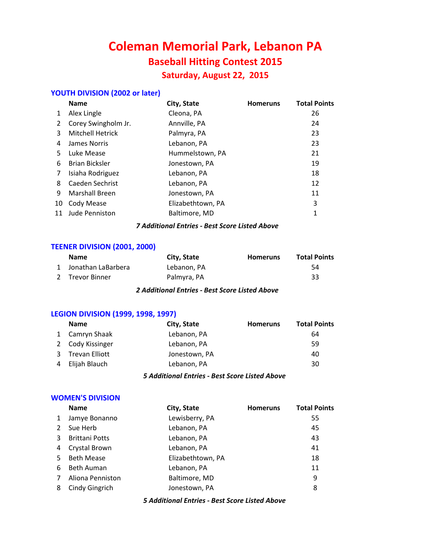# **Coleman Memorial Park, Lebanon PA Baseball Hitting Contest 2015 Saturday, August 22, 2015**

# **YOUTH DIVISION (2002 or later)**

|    | <b>Name</b>             | City, State       | <b>Homeruns</b> | <b>Total Points</b> |
|----|-------------------------|-------------------|-----------------|---------------------|
| 1  | Alex Lingle             | Cleona, PA        |                 | 26                  |
| 2  | Corey Swingholm Jr.     | Annville, PA      |                 | 24                  |
| 3  | <b>Mitchell Hetrick</b> | Palmyra, PA       |                 | 23                  |
| 4  | James Norris            | Lebanon, PA       |                 | 23                  |
| 5. | Luke Mease              | Hummelstown, PA   |                 | 21                  |
| 6  | <b>Brian Bicksler</b>   | Jonestown, PA     |                 | 19                  |
| 7  | Isiaha Rodriguez        | Lebanon, PA       |                 | 18                  |
| 8  | Caeden Sechrist         | Lebanon, PA       |                 | 12                  |
| 9  | <b>Marshall Breen</b>   | Jonestown, PA     |                 | 11                  |
| 10 | Cody Mease              | Elizabethtown, PA |                 | 3                   |
| 11 | <b>Jude Penniston</b>   | Baltimore, MD     |                 | 1                   |
|    |                         |                   |                 |                     |

#### *7 Additional Entries - Best Score Listed Above*

# **TEENER DIVISION (2001, 2000)**

| <b>Name</b>          | City, State | <b>Homeruns</b> | <b>Total Points</b> |
|----------------------|-------------|-----------------|---------------------|
| 1 Jonathan LaBarbera | Lebanon. PA |                 | 54                  |
| 2 Trevor Binner      | Palmyra, PA |                 | 33                  |

#### *2 Additional Entries - Best Score Listed Above*

### **LEGION DIVISION (1999, 1998, 1997)**

|   | <b>Name</b>      | City, State   | <b>Homeruns</b> | <b>Total Points</b> |
|---|------------------|---------------|-----------------|---------------------|
|   | 1 Camryn Shaak   | Lebanon, PA   |                 | 64                  |
|   | 2 Cody Kissinger | Lebanon, PA   |                 | 59                  |
|   | 3 Trevan Elliott | Jonestown, PA |                 | 40                  |
| 4 | Elijah Blauch    | Lebanon, PA   |                 | 30                  |
|   |                  |               |                 |                     |

*5 Additional Entries - Best Score Listed Above*

#### **WOMEN'S DIVISION**

|    | <b>Name</b>           | City, State       | <b>Homeruns</b> | <b>Total Points</b> |
|----|-----------------------|-------------------|-----------------|---------------------|
|    | Jamye Bonanno         | Lewisberry, PA    |                 | 55                  |
| 2  | Sue Herb              | Lebanon, PA       |                 | 45                  |
| 3  | <b>Brittani Potts</b> | Lebanon, PA       |                 | 43                  |
| 4  | Crystal Brown         | Lebanon, PA       |                 | 41                  |
| 5. | <b>Beth Mease</b>     | Elizabethtown, PA |                 | 18                  |
| 6  | <b>Beth Auman</b>     | Lebanon, PA       |                 | 11                  |
|    | Aliona Penniston      | Baltimore, MD     |                 | 9                   |
| 8  | Cindy Gingrich        | Jonestown, PA     |                 | 8                   |
|    |                       |                   |                 |                     |

*5 Additional Entries - Best Score Listed Above*